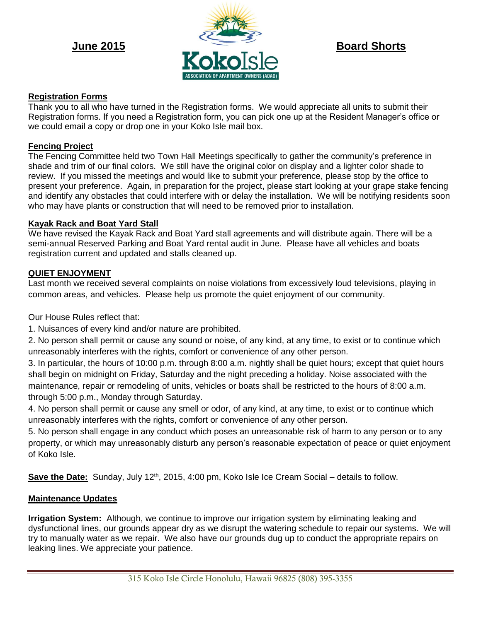

# **Registration Forms**

Thank you to all who have turned in the Registration forms. We would appreciate all units to submit their Registration forms. If you need a Registration form, you can pick one up at the Resident Manager's office or we could email a copy or drop one in your Koko Isle mail box.

## **Fencing Project**

The Fencing Committee held two Town Hall Meetings specifically to gather the community's preference in shade and trim of our final colors. We still have the original color on display and a lighter color shade to review. If you missed the meetings and would like to submit your preference, please stop by the office to present your preference. Again, in preparation for the project, please start looking at your grape stake fencing and identify any obstacles that could interfere with or delay the installation. We will be notifying residents soon who may have plants or construction that will need to be removed prior to installation.

## **Kayak Rack and Boat Yard Stall**

We have revised the Kayak Rack and Boat Yard stall agreements and will distribute again. There will be a semi-annual Reserved Parking and Boat Yard rental audit in June. Please have all vehicles and boats registration current and updated and stalls cleaned up.

#### **QUIET ENJOYMENT**

Last month we received several complaints on noise violations from excessively loud televisions, playing in common areas, and vehicles. Please help us promote the quiet enjoyment of our community.

Our House Rules reflect that:

1. Nuisances of every kind and/or nature are prohibited.

2. No person shall permit or cause any sound or noise, of any kind, at any time, to exist or to continue which unreasonably interferes with the rights, comfort or convenience of any other person.

3. In particular, the hours of 10:00 p.m. through 8:00 a.m. nightly shall be quiet hours; except that quiet hours shall begin on midnight on Friday, Saturday and the night preceding a holiday. Noise associated with the maintenance, repair or remodeling of units, vehicles or boats shall be restricted to the hours of 8:00 a.m. through 5:00 p.m., Monday through Saturday.

4. No person shall permit or cause any smell or odor, of any kind, at any time, to exist or to continue which unreasonably interferes with the rights, comfort or convenience of any other person.

5. No person shall engage in any conduct which poses an unreasonable risk of harm to any person or to any property, or which may unreasonably disturb any person's reasonable expectation of peace or quiet enjoyment of Koko Isle.

**Save the Date:** Sunday, July 12<sup>th</sup>, 2015, 4:00 pm, Koko Isle Ice Cream Social – details to follow.

## **Maintenance Updates**

**Irrigation System:** Although, we continue to improve our irrigation system by eliminating leaking and dysfunctional lines, our grounds appear dry as we disrupt the watering schedule to repair our systems. We will try to manually water as we repair. We also have our grounds dug up to conduct the appropriate repairs on leaking lines. We appreciate your patience.